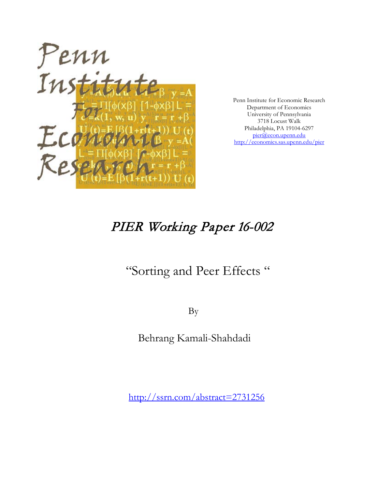

Penn Institute for Economic Research Department of Economics University of Pennsylvania 3718 Locust Walk Philadelphia, PA 19104-6297 [pier@econ.upenn.edu](mailto:pier@econ.upenn.edu) <http://economics.sas.upenn.edu/pier>

# PIER Working Paper 16-002

# "Sorting and Peer Effects "

By

Behrang Kamali-Shahdadi

[http://ssrn.com/abstract=2](http://ssrn.com/abstract_id=)731256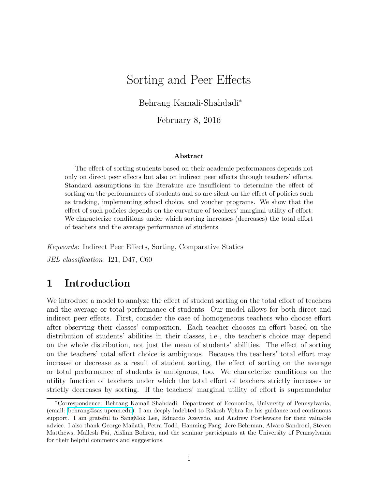## Sorting and Peer Effects

Behrang Kamali-Shahdadi<sup>∗</sup>

February 8, 2016

#### Abstract

The effect of sorting students based on their academic performances depends not only on direct peer effects but also on indirect peer effects through teachers' efforts. Standard assumptions in the literature are insufficient to determine the effect of sorting on the performances of students and so are silent on the effect of policies such as tracking, implementing school choice, and voucher programs. We show that the effect of such policies depends on the curvature of teachers' marginal utility of effort. We characterize conditions under which sorting increases (decreases) the total effort of teachers and the average performance of students.

Keywords: Indirect Peer Effects, Sorting, Comparative Statics JEL classification: I21, D47, C60

## 1 Introduction

We introduce a model to analyze the effect of student sorting on the total effort of teachers and the average or total performance of students. Our model allows for both direct and indirect peer effects. First, consider the case of homogeneous teachers who choose effort after observing their classes' composition. Each teacher chooses an effort based on the distribution of students' abilities in their classes, i.e., the teacher's choice may depend on the whole distribution, not just the mean of students' abilities. The effect of sorting on the teachers' total effort choice is ambiguous. Because the teachers' total effort may increase or decrease as a result of student sorting, the effect of sorting on the average or total performance of students is ambiguous, too. We characterize conditions on the utility function of teachers under which the total effort of teachers strictly increases or strictly decreases by sorting. If the teachers' marginal utility of effort is supermodular

<sup>∗</sup>Correspondence: Behrang Kamali Shahdadi: Department of Economics, University of Pennsylvania, (email: [behrang@sas.upenn.edu\)](mailto:behrang@sas.upenn.edu). I am deeply indebted to Rakesh Vohra for his guidance and continuous support. I am grateful to SangMok Lee, Eduardo Azevedo, and Andrew Postlewaite for their valuable advice. I also thank George Mailath, Petra Todd, Hanming Fang, Jere Behrman, Alvaro Sandroni, Steven Matthews, Mallesh Pai, Aislinn Bohren, and the seminar participants at the University of Pennsylvania for their helpful comments and suggestions.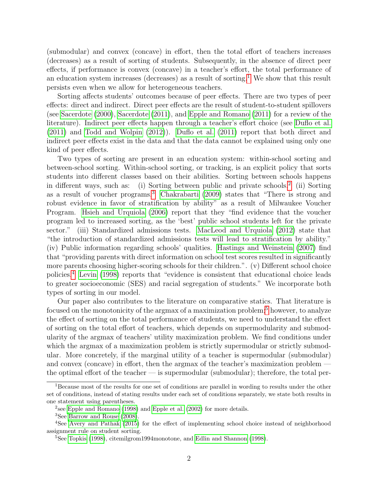(submodular) and convex (concave) in effort, then the total effort of teachers increases (decreases) as a result of sorting of students. Subsequently, in the absence of direct peer effects, if performance is convex (concave) in a teacher's effort, the total performance of an education system increases (decreases) as a result of sorting.<sup>[1](#page-2-0)</sup> We show that this result persists even when we allow for heterogeneous teachers.

Sorting affects students' outcomes because of peer effects. There are two types of peer effects: direct and indirect. Direct peer effects are the result of student-to-student spillovers (see [Sacerdote](#page-26-0) [\(2000\)](#page-26-0), [Sacerdote](#page-26-1) [\(2011\)](#page-26-1), and [Epple and Romano](#page-25-0) [\(2011\)](#page-25-0) for a review of the literature). Indirect peer effects happen through a teacher's effort choice (see [Duflo et al.](#page-25-1) [\(2011\)](#page-25-1) and [Todd and Wolpin](#page-26-2) [\(2012\)](#page-26-2)). [Duflo et al.](#page-25-1) [\(2011\)](#page-25-1) report that both direct and indirect peer effects exist in the data and that the data cannot be explained using only one kind of peer effects.

Two types of sorting are present in an education system: within-school sorting and between-school sorting. Within-school sorting, or tracking, is an explicit policy that sorts students into different classes based on their abilities. Sorting between schools happens in different ways, such as: (i) Sorting between public and private schools.[2](#page-2-1) (ii) Sorting as a result of voucher programs.[3](#page-2-2) [Chakrabarti](#page-25-2) [\(2009\)](#page-25-2) states that "There is strong and robust evidence in favor of stratification by ability" as a result of Milwaukee Voucher Program. [Hsieh and Urquiola](#page-25-3) [\(2006\)](#page-25-3) report that they "find evidence that the voucher program led to increased sorting, as the 'best' public school students left for the private sector." (iii) Standardized admissions tests. [MacLeod and Urquiola](#page-26-3) [\(2012\)](#page-26-3) state that "the introduction of standardized admissions tests will lead to stratification by ability." (iv) Public information regarding schools' qualities. [Hastings and Weinstein](#page-25-4) [\(2007\)](#page-25-4) find that "providing parents with direct information on school test scores resulted in significantly more parents choosing higher-scoring schools for their children.". (v) Different school choice policies.[4](#page-2-3) [Levin](#page-26-4) [\(1998\)](#page-26-4) reports that "evidence is consistent that educational choice leads to greater socioeconomic (SES) and racial segregation of students." We incorporate both types of sorting in our model.

Our paper also contributes to the literature on comparative statics. That literature is focused on the monotonicity of the argmax of a maximization problem; $<sup>5</sup>$  $<sup>5</sup>$  $<sup>5</sup>$  however, to analyze</sup> the effect of sorting on the total performance of students, we need to understand the effect of sorting on the total effort of teachers, which depends on supermodularity and submodularity of the argmax of teachers' utility maximization problem. We find conditions under which the argmax of a maximization problem is strictly supermodular or strictly submodular. More concretely, if the marginal utility of a teacher is supermodular (submodular) and convex (concave) in effort, then the argmax of the teacher's maximization problem the optimal effort of the teacher — is supermodular (submodular); therefore, the total per-

<span id="page-2-0"></span><sup>&</sup>lt;sup>1</sup>Because most of the results for one set of conditions are parallel in wording to results under the other set of conditions, instead of stating results under each set of conditions separately, we state both results in one statement using parentheses.

<span id="page-2-1"></span><sup>&</sup>lt;sup>2</sup> see [Epple and Romano](#page-25-5) [\(1998\)](#page-25-5) and [Epple et al.](#page-25-6) [\(2002\)](#page-25-6) for more details.

<span id="page-2-3"></span><span id="page-2-2"></span><sup>3</sup>See [Barrow and Rouse](#page-25-7) [\(2008\)](#page-25-7).

<sup>4</sup>See [Avery and Pathak](#page-25-8) [\(2015\)](#page-25-8) for the effect of implementing school choice instead of neighborhood assignment rule on student sorting.

<span id="page-2-4"></span><sup>5</sup>See [Topkis](#page-26-5) [\(1998\)](#page-26-5), citemilgrom1994monotone, and [Edlin and Shannon](#page-25-9) [\(1998\)](#page-25-9).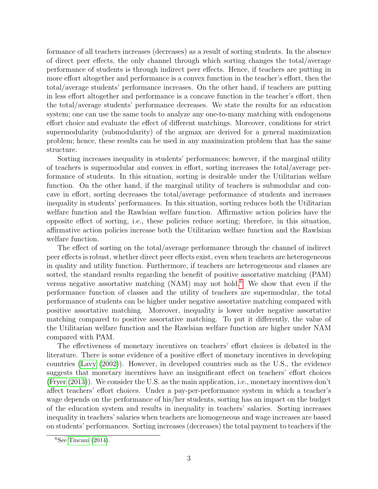formance of all teachers increases (decreases) as a result of sorting students. In the absence of direct peer effects, the only channel through which sorting changes the total/average performance of students is through indirect peer effects. Hence, if teachers are putting in more effort altogether and performance is a convex function in the teacher's effort, then the total/average students' performance increases. On the other hand, if teachers are putting in less effort altogether and performance is a concave function in the teacher's effort, then the total/average students' performance decreases. We state the results for an education system; one can use the same tools to analyze any one-to-many matching with endogenous effort choice and evaluate the effect of different matchings. Moreover, conditions for strict supermodularity (submodularity) of the argmax are derived for a general maximization problem; hence, these results can be used in any maximization problem that has the same structure.

Sorting increases inequality in students' performances; however, if the marginal utility of teachers is supermodular and convex in effort, sorting increases the total/average performance of students. In this situation, sorting is desirable under the Utilitarian welfare function. On the other hand, if the marginal utility of teachers is submodular and concave in effort, sorting decreases the total/average performance of students and increases inequality in students' performances. In this situation, sorting reduces both the Utilitarian welfare function and the Rawlsian welfare function. Affirmative action policies have the opposite effect of sorting, i.e., these policies reduce sorting; therefore, in this situation, affirmative action policies increase both the Utilitarian welfare function and the Rawlsian welfare function.

The effect of sorting on the total/average performance through the channel of indirect peer effects is robust, whether direct peer effects exist, even when teachers are heterogeneous in quality and utility function. Furthermore, if teachers are heterogeneous and classes are sorted, the standard results regarding the benefit of positive assortative matching (PAM) versus negative assortative matching  $(NAM)$  may not hold.<sup>[6](#page-3-0)</sup> We show that even if the performance function of classes and the utility of teachers are supermodular, the total performance of students can be higher under negative assortative matching compared with positive assortative matching. Moreover, inequality is lower under negative assortative matching compared to positive assortative matching. To put it differently, the value of the Utilitarian welfare function and the Rawlsian welfare function are higher under NAM compared with PAM.

The effectiveness of monetary incentives on teachers' effort choices is debated in the literature. There is some evidence of a positive effect of monetary incentives in developing countries [\(Lavy](#page-25-10) [\(2002\)](#page-25-10)). However, in developed countries such as the U.S., the evidence suggests that monetary incentives have an insignificant effect on teachers' effort choices [\(Fryer](#page-25-11) [\(2013\)](#page-25-11)). We consider the U.S. as the main application, i.e., monetary incentives don't affect teachers' effort choices. Under a pay-per-performance system in which a teacher's wage depends on the performance of his/her students, sorting has an impact on the budget of the education system and results in inequality in teachers' salaries. Sorting increases inequality in teachers' salaries when teachers are homogeneous and wage increases are based on students' performances. Sorting increases (decreases) the total payment to teachers if the

<span id="page-3-0"></span> ${}^{6}$ See [Tincani](#page-26-6) [\(2014\)](#page-26-6).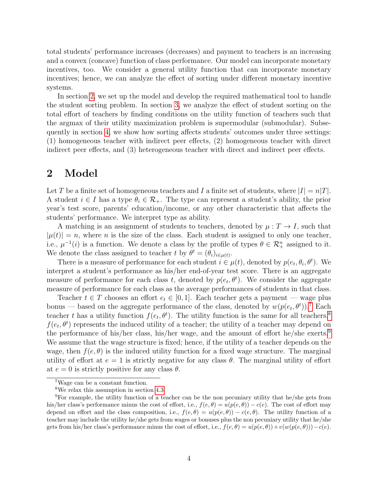total students' performance increases (decreases) and payment to teachers is an increasing and a convex (concave) function of class performance. Our model can incorporate monetary incentives, too. We consider a general utility function that can incorporate monetary incentives; hence, we can analyze the effect of sorting under different monetary incentive systems.

In section [2,](#page-4-0) we set up the model and develop the required mathematical tool to handle the student sorting problem. In section [3,](#page-6-0) we analyze the effect of student sorting on the total effort of teachers by finding conditions on the utility function of teachers such that the argmax of their utility maximization problem is supermodular (submodular). Subsequently in section [4,](#page-11-0) we show how sorting affects students' outcomes under three settings: (1) homogeneous teacher with indirect peer effects, (2) homogeneous teacher with direct indirect peer effects, and (3) heterogeneous teacher with direct and indirect peer effects.

## <span id="page-4-0"></span>2 Model

Let T be a finite set of homogeneous teachers and I a finite set of students, where  $|I| = n|T|$ . A student  $i \in I$  has a type  $\theta_i \in \mathcal{R}_+$ . The type can represent a student's ability, the prior year's test score, parents' education/income, or any other characteristic that affects the students' performance. We interpret type as ability.

A matching is an assignment of students to teachers, denoted by  $\mu: T \to I$ , such that  $|\mu(t)| = n$ , where *n* is the size of the class. Each student is assigned to only one teacher, i.e.,  $\mu^{-1}(i)$  is a function. We denote a class by the profile of types  $\theta \in \mathcal{R}_{+}^{n}$  assigned to it. We denote the class assigned to teacher t by  $\theta^t = (\theta_i)_{i \in \mu(t)}$ .

There is a measure of performance for each student  $i \in \mu(t)$ , denoted by  $p(e_t, \theta_i, \theta^t)$ . We interpret a student's performance as his/her end-of-year test score. There is an aggregate measure of performance for each class t, denoted by  $p(e_t, \theta^t)$ . We consider the aggregate measure of performance for each class as the average performances of students in that class.

Teacher  $t \in T$  chooses an effort  $e_t \in [0,1]$ . Each teacher gets a payment — wage plus bonus — based on the aggregate performance of the class, denoted by  $w(p(e_t, \theta^t))$ .<sup>[7](#page-4-1)</sup> Each teacher t has a utility function  $f(e_t, \theta^t)$ . The utility function is the same for all teachers.<sup>[8](#page-4-2)</sup>  $f(e_t, \theta^t)$  represents the induced utility of a teacher; the utility of a teacher may depend on the performance of his/her class, his/her wage, and the amount of effort he/she exerts.<sup>[9](#page-4-3)</sup> We assume that the wage structure is fixed; hence, if the utility of a teacher depends on the wage, then  $f(e, \theta)$  is the induced utility function for a fixed wage structure. The marginal utility of effort at  $e = 1$  is strictly negative for any class  $\theta$ . The marginal utility of effort at  $e = 0$  is strictly positive for any class  $\theta$ .

<span id="page-4-1"></span><sup>7</sup>Wage can be a constant function.

<span id="page-4-3"></span><span id="page-4-2"></span><sup>8</sup>We relax this assumption in section [4.3.](#page-15-0)

<sup>9</sup>For example, the utility function of a teacher can be the non pecuniary utility that he/she gets from his/her class's performance minus the cost of effort, i.e.,  $f(e, \theta) = u(p(e, \theta)) - c(e)$ . The cost of effort may depend on effort and the class composition, i.e.,  $f(e, \theta) = u(p(e, \theta)) - c(e, \theta)$ . The utility function of a teacher may include the utility he/she gets from wages or bonuses plus the non pecuniary utility that he/she gets from his/her class's performance minus the cost of effort, i.e.,  $f(e, \theta) = u(p(e, \theta)) + v(w(p(e, \theta))) - c(e)$ .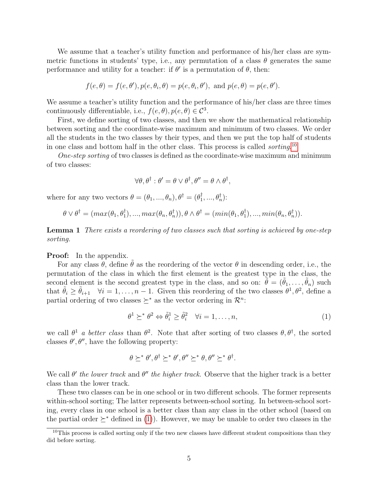We assume that a teacher's utility function and performance of his/her class are symmetric functions in students' type, i.e., any permutation of a class  $\theta$  generates the same performance and utility for a teacher: if  $\theta'$  is a permutation of  $\theta$ , then:

$$
f(e, \theta) = f(e, \theta'), p(e, \theta_i, \theta) = p(e, \theta_i, \theta'), \text{ and } p(e, \theta) = p(e, \theta').
$$

We assume a teacher's utility function and the performance of his/her class are three times continuously differentiable, i.e.,  $f(e, \theta), p(e, \theta) \in \mathcal{C}^3$ .

First, we define sorting of two classes, and then we show the mathematical relationship between sorting and the coordinate-wise maximum and minimum of two classes. We order all the students in the two classes by their types, and then we put the top half of students in one class and bottom half in the other class. This process is called *sorting*.<sup>[10](#page-5-0)</sup>

One-step sorting of two classes is defined as the coordinate-wise maximum and minimum of two classes:

$$
\forall \theta, \theta^{\dagger} : \theta' = \theta \vee \theta^{\dagger}, \theta'' = \theta \wedge \theta^{\dagger},
$$

where for any two vectors  $\theta = (\theta_1, ..., \theta_n), \theta^{\dagger} = (\theta_1^{\dagger})$  $\mathbf{1}^{\dagger},...,\theta_{n}^{\dagger}$ :

$$
\theta \vee \theta^{\dagger} = (max(\theta_1, \theta_1^{\dagger}), ..., max(\theta_n, \theta_n^{\dagger})), \theta \wedge \theta^{\dagger} = (min(\theta_1, \theta_1^{\dagger}), ..., min(\theta_n, \theta_n^{\dagger})).
$$

<span id="page-5-2"></span>Lemma 1 There exists a reordering of two classes such that sorting is achieved by one-step sorting.

#### Proof: In the appendix.

For any class  $\theta$ , define  $\hat{\theta}$  as the reordering of the vector  $\theta$  in descending order, i.e., the permutation of the class in which the first element is the greatest type in the class, the second element is the second greatest type in the class, and so on:  $\tilde{\theta} = (\tilde{\theta}_1, \ldots, \tilde{\theta}_n)$  such that  $\tilde{\theta}_i \ge \tilde{\theta}_{i+1}$   $\forall i = 1, \ldots, n-1$ . Given this reordering of the two classes  $\theta^1, \theta^2$ , define a partial ordering of two classes  $\succeq^*$  as the vector ordering in  $\mathcal{R}^n$ :

<span id="page-5-1"></span>
$$
\theta^1 \succeq^* \theta^2 \Leftrightarrow \tilde{\theta}_i^1 \ge \tilde{\theta}_i^2 \quad \forall i = 1, \dots, n,
$$
\n<sup>(1)</sup>

we call  $\theta^1$  a better class than  $\theta^2$ . Note that after sorting of two classes  $\theta, \theta^{\dagger}$ , the sorted classes  $\theta', \theta'',$  have the following property:

$$
\theta \succeq^* \theta', \theta^{\dagger} \succeq^* \theta', \theta'' \succeq^* \theta, \theta'' \succeq^* \theta^{\dagger}.
$$

We call  $\theta'$  the lower track and  $\theta''$  the higher track. Observe that the higher track is a better class than the lower track.

These two classes can be in one school or in two different schools. The former represents within-school sorting; The latter represents between-school sorting. In between-school sorting, every class in one school is a better class than any class in the other school (based on the partial order  $\succeq^*$  defined in [\(1\)](#page-5-1)). However, we may be unable to order two classes in the

<span id="page-5-0"></span> $10$ This process is called sorting only if the two new classes have different student compositions than they did before sorting.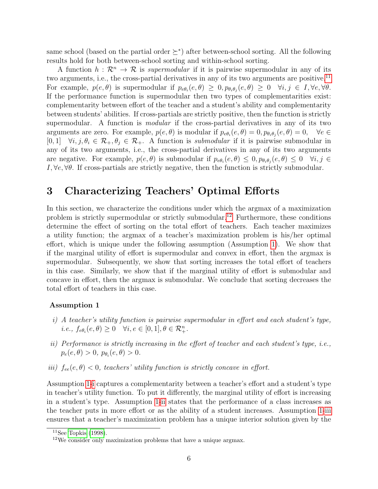same school (based on the partial order  $\succeq^*$ ) after between-school sorting. All the following results hold for both between-school sorting and within-school sorting.

A function  $h : \mathcal{R}^n \to \mathcal{R}$  is supermodular if it is pairwise supermodular in any of its two arguments, i.e., the cross-partial derivatives in any of its two arguments are positive.<sup>[11](#page-6-1)</sup> For example,  $p(e, \theta)$  is supermodular if  $p_{e\theta_i}(e, \theta) \geq 0$ ,  $p_{\theta_i\theta_j}(e, \theta) \geq 0 \quad \forall i, j \in I$ ,  $\forall e, \forall \theta$ . If the performance function is supermodular then two types of complementarities exist: complementarity between effort of the teacher and a student's ability and complementarity between students' abilities. If cross-partials are strictly positive, then the function is strictly supermodular. A function is modular if the cross-partial derivatives in any of its two arguments are zero. For example,  $p(e, \theta)$  is modular if  $p_{e\theta_i}(e, \theta) = 0$ ,  $p_{\theta_i\theta_j}(e, \theta) = 0$ ,  $\forall e \in$  $[0, 1]$   $\forall i, j, \theta_i \in \mathcal{R}_+, \theta_j \in \mathcal{R}_+$ . A function is *submodular* if it is pairwise submodular in any of its two arguments, i.e., the cross-partial derivatives in any of its two arguments are negative. For example,  $p(e, \theta)$  is submodular if  $p_{e\theta_i}(e, \theta) \leq 0$ ,  $p_{\theta_i\theta_j}(e, \theta) \leq 0$   $\forall i, j \in$ I,  $\forall e, \forall \theta$ . If cross-partials are strictly negative, then the function is strictly submodular.

## <span id="page-6-0"></span>3 Characterizing Teachers' Optimal Efforts

In this section, we characterize the conditions under which the argmax of a maximization problem is strictly supermodular or strictly submodular.<sup>[12](#page-6-2)</sup> Furthermore, these conditions determine the effect of sorting on the total effort of teachers. Each teacher maximizes a utility function; the argmax of a teacher's maximization problem is his/her optimal effort, which is unique under the following assumption (Assumption [1\)](#page-6-3). We show that if the marginal utility of effort is supermodular and convex in effort, then the argmax is supermodular. Subsequently, we show that sorting increases the total effort of teachers in this case. Similarly, we show that if the marginal utility of effort is submodular and concave in effort, then the argmax is submodular. We conclude that sorting decreases the total effort of teachers in this case.

#### <span id="page-6-3"></span>Assumption 1

- <span id="page-6-4"></span>i) A teacher's utility function is pairwise supermodular in effort and each student's type, *i.e.*,  $f_{e\theta_i}(e, \theta) \ge 0 \quad \forall i, e \in [0, 1], \theta \in \mathcal{R}_+^n$ .
- <span id="page-6-5"></span>ii) Performance is strictly increasing in the effort of teacher and each student's type, i.e.,  $p_e(e, \theta) > 0, p_{\theta_i}(e, \theta) > 0.$
- <span id="page-6-6"></span>iii)  $f_{ee}(e, \theta) < 0$ , teachers' utility function is strictly concave in effort.

Assumption [1-](#page-6-3)[i](#page-6-4) captures a complementarity between a teacher's effort and a student's type in teacher's utility function. To put it differently, the marginal utility of effort is increasing in a student's type. Assumption [1](#page-6-3)[-ii](#page-6-5) states that the performance of a class increases as the teacher puts in more effort or as the ability of a student increases. Assumption [1-](#page-6-3)[iii](#page-6-6) ensures that a teacher's maximization problem has a unique interior solution given by the

<span id="page-6-1"></span> $11$ See [Topkis](#page-26-5) [\(1998\)](#page-26-5).

<span id="page-6-2"></span><sup>12</sup>We consider only maximization problems that have a unique argmax.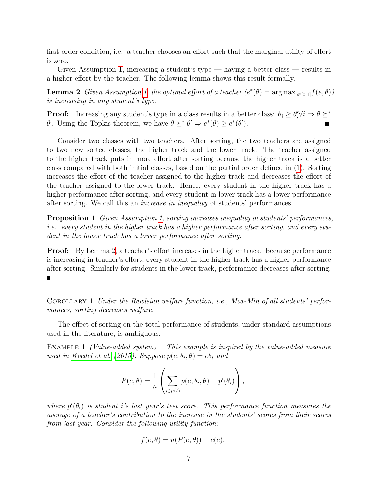first-order condition, i.e., a teacher chooses an effort such that the marginal utility of effort is zero.

<span id="page-7-0"></span>Given Assumption [1,](#page-6-3) increasing a student's type — having a better class — results in a higher effort by the teacher. The following lemma shows this result formally.

**Lemma 2** Given Assumption [1,](#page-6-3) the optimal effort of a teacher  $(e^*(\theta)) = \text{argmax}_{e \in [0,1]} f(e, \theta)$ is increasing in any student's type.

**Proof:** Increasing any student's type in a class results in a better class:  $\theta_i \geq \theta'_i \forall i \Rightarrow \theta \succeq^*$  $\theta'$ . Using the Topkis theorem, we have  $\theta \succeq^* \theta' \Rightarrow e^*(\theta) \geq e^*(\theta')$ .

Consider two classes with two teachers. After sorting, the two teachers are assigned to two new sorted classes, the higher track and the lower track. The teacher assigned to the higher track puts in more effort after sorting because the higher track is a better class compared with both initial classes, based on the partial order defined in [\(1\)](#page-5-1). Sorting increases the effort of the teacher assigned to the higher track and decreases the effort of the teacher assigned to the lower track. Hence, every student in the higher track has a higher performance after sorting, and every student in lower track has a lower performance after sorting. We call this an increase in inequality of students' performances.

<span id="page-7-1"></span>Proposition 1 Given Assumption [1,](#page-6-3) sorting increases inequality in students' performances, i.e., every student in the higher track has a higher performance after sorting, and every student in the lower track has a lower performance after sorting.

Proof: By Lemma [2,](#page-7-0) a teacher's effort increases in the higher track. Because performance is increasing in teacher's effort, every student in the higher track has a higher performance after sorting. Similarly for students in the lower track, performance decreases after sorting.

<span id="page-7-2"></span>COROLLARY 1 Under the Rawlsian welfare function, i.e., Max-Min of all students' performances, sorting decreases welfare.

The effect of sorting on the total performance of students, under standard assumptions used in the literature, is ambiguous.

EXAMPLE 1 (Value-added system) This example is inspired by the value-added measure used in [Koedel et al.](#page-25-12) [\(2015\)](#page-25-12). Suppose  $p(e, \theta_i, \theta) = e\theta_i$  and

<span id="page-7-3"></span>
$$
P(e, \theta) = \frac{1}{n} \left( \sum_{i \in \mu(t)} p(e, \theta_i, \theta) - p'(\theta_i) \right),
$$

where  $p'(\theta_i)$  is student i's last year's test score. This performance function measures the average of a teacher's contribution to the increase in the students' scores from their scores from last year. Consider the following utility function:

$$
f(e, \theta) = u(P(e, \theta)) - c(e).
$$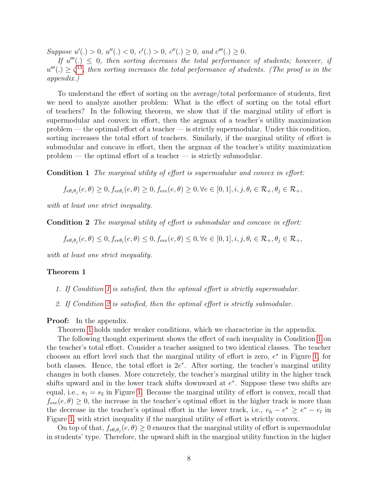Suppose  $u'(.) > 0$ ,  $u''(.) < 0$ ,  $c'(.) > 0$ ,  $c''(.) \geq 0$ , and  $c'''(.) \geq 0$ .

If  $u'''(.) \leq 0$ , then sorting decreases the total performance of students; however, if  $u'''(.) \geq \zeta^{13}$  $u'''(.) \geq \zeta^{13}$  $u'''(.) \geq \zeta^{13}$ , then sorting increases the total performance of students. (The proof is in the appendix.)

To understand the effect of sorting on the average/total performance of students, first we need to analyze another problem: What is the effect of sorting on the total effort of teachers? In the following theorem, we show that if the marginal utility of effort is supermodular and convex in effort, then the argmax of a teacher's utility maximization problem — the optimal effort of a teacher — is strictly supermodular. Under this condition, sorting increases the total effort of teachers. Similarly, if the marginal utility of effort is submodular and concave in effort, then the argmax of the teacher's utility maximization problem — the optimal effort of a teacher — is strictly submodular.

<span id="page-8-0"></span>Condition 1 The marginal utility of effort is supermodular and convex in effort:

 $f_{e\theta_i\theta_j}(e,\theta) \geq 0, f_{ee\theta_i}(e,\theta) \geq 0, f_{eee}(e,\theta) \geq 0, \forall e \in [0,1], i, j, \theta_i \in \mathcal{R}_+, \theta_j \in \mathcal{R}_+,$ 

with at least one strict inequality.

<span id="page-8-1"></span>Condition 2 The marginal utility of effort is submodular and concave in effort:

 $f_{e\theta_i\theta_j}(e,\theta) \leq 0, f_{ee\theta_i}(e,\theta) \leq 0, f_{eee}(e,\theta) \leq 0, \forall e \in [0,1], i, j, \theta_i \in \mathcal{R}_+, \theta_j \in \mathcal{R}_+,$ 

with at least one strict inequality.

#### <span id="page-8-2"></span>Theorem 1

- 1. If Condition [1](#page-8-0) is satisfied, then the optimal effort is strictly supermodular.
- 2. If Condition [2](#page-8-1) is satisfied, then the optimal effort is strictly submodular.

#### **Proof:** In the appendix.

Theorem [1](#page-8-2) holds under weaker conditions, which we characterize in the appendix.

The following thought experiment shows the effect of each inequality in Condition [1](#page-8-0) on the teacher's total effort. Consider a teacher assigned to two identical classes. The teacher chooses an effort level such that the marginal utility of effort is zero,  $e^*$  in Figure [1,](#page-9-0) for both classes. Hence, the total effort is  $2e^*$ . After sorting, the teacher's marginal utility changes in both classes. More concretely, the teacher's marginal utility in the higher track shifts upward and in the lower track shifts downward at  $e^*$ . Suppose these two shifts are equal, i.e.,  $s_1 = s_2$  in Figure [1.](#page-9-0) Because the marginal utility of effort is convex, recall that  $f_{eee}(e, \theta) \geq 0$ , the increase in the teacher's optimal effort in the higher track is more than the decrease in the teacher's optimal effort in the lower track, i.e.,  $e_h - e^* \ge e^* - e_l$  in Figure [1,](#page-9-0) with strict inequality if the marginal utility of effort is strictly convex.

On top of that,  $f_{e\theta_i\theta_j}(e, \theta) \geq 0$  ensures that the marginal utility of effort is supermodular in students' type. Therefore, the upward shift in the marginal utility function in the higher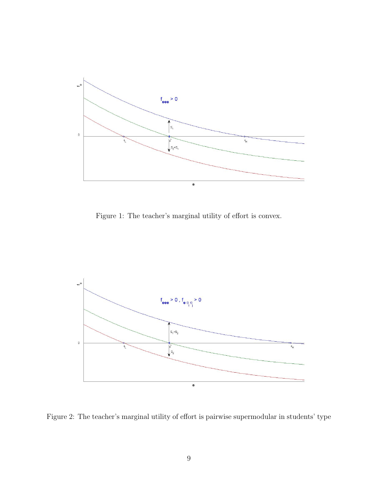

<span id="page-9-0"></span>Figure 1: The teacher's marginal utility of effort is convex.



<span id="page-9-1"></span>Figure 2: The teacher's marginal utility of effort is pairwise supermodular in students' type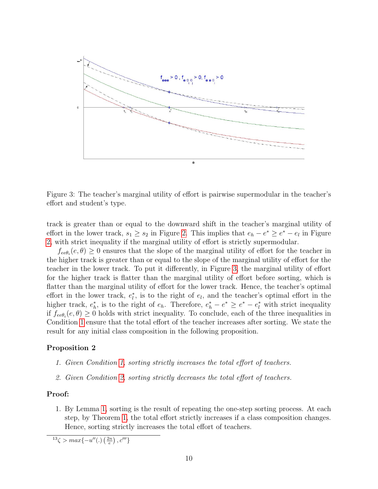

<span id="page-10-1"></span>Figure 3: The teacher's marginal utility of effort is pairwise supermodular in the teacher's effort and student's type.

track is greater than or equal to the downward shift in the teacher's marginal utility of effort in the lower track,  $s_1 \geq s_2$  in Figure [2.](#page-9-1) This implies that  $e_h - e^* \geq e^* - e_l$  in Figure [2,](#page-9-1) with strict inequality if the marginal utility of effort is strictly supermodular.

 $f_{ee\theta_i}(e, \theta) \geq 0$  ensures that the slope of the marginal utility of effort for the teacher in the higher track is greater than or equal to the slope of the marginal utility of effort for the teacher in the lower track. To put it differently, in Figure [3,](#page-10-1) the marginal utility of effort for the higher track is flatter than the marginal utility of effort before sorting, which is flatter than the marginal utility of effort for the lower track. Hence, the teacher's optimal effort in the lower track,  $e_l^*$ , is to the right of  $e_l$ , and the teacher's optimal effort in the higher track,  $e_h^*$ , is to the right of  $e_h$ . Therefore,  $e_h^* - e^* \ge e^* - e_l^*$  with strict inequality if  $f_{ee\theta_i}(e, \theta) \geq 0$  holds with strict inequality. To conclude, each of the three inequalities in Condition [1](#page-8-0) ensure that the total effort of the teacher increases after sorting. We state the result for any initial class composition in the following proposition.

#### <span id="page-10-2"></span>Proposition 2

- 1. Given Condition [1,](#page-8-0) sorting strictly increases the total effort of teachers.
- 2. Given Condition [2,](#page-8-1) sorting strictly decreases the total effort of teachers.

#### Proof:

1. By Lemma [1,](#page-5-2) sorting is the result of repeating the one-step sorting process. At each step, by Theorem [1,](#page-8-2) the total effort strictly increases if a class composition changes. Hence, sorting strictly increases the total effort of teachers.

<span id="page-10-0"></span> $^{13}\zeta$  >  $max\{-u''(.)\left(\frac{2n}{e}\right), c'''\}$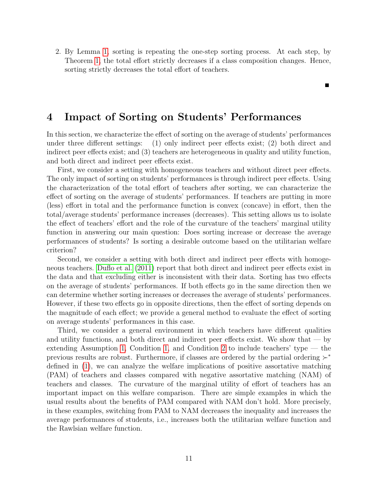2. By Lemma [1,](#page-5-2) sorting is repeating the one-step sorting process. At each step, by Theorem [1,](#page-8-2) the total effort strictly decreases if a class composition changes. Hence, sorting strictly decreases the total effort of teachers.

 $\blacksquare$ 

## <span id="page-11-0"></span>4 Impact of Sorting on Students' Performances

In this section, we characterize the effect of sorting on the average of students' performances under three different settings: (1) only indirect peer effects exist; (2) both direct and indirect peer effects exist; and (3) teachers are heterogeneous in quality and utility function, and both direct and indirect peer effects exist.

First, we consider a setting with homogeneous teachers and without direct peer effects. The only impact of sorting on students' performances is through indirect peer effects. Using the characterization of the total effort of teachers after sorting, we can characterize the effect of sorting on the average of students' performances. If teachers are putting in more (less) effort in total and the performance function is convex (concave) in effort, then the total/average students' performance increases (decreases). This setting allows us to isolate the effect of teachers' effort and the role of the curvature of the teachers' marginal utility function in answering our main question: Does sorting increase or decrease the average performances of students? Is sorting a desirable outcome based on the utilitarian welfare criterion?

Second, we consider a setting with both direct and indirect peer effects with homogeneous teachers. [Duflo et al.](#page-25-1) [\(2011\)](#page-25-1) report that both direct and indirect peer effects exist in the data and that excluding either is inconsistent with their data. Sorting has two effects on the average of students' performances. If both effects go in the same direction then we can determine whether sorting increases or decreases the average of students' performances. However, if these two effects go in opposite directions, then the effect of sorting depends on the magnitude of each effect; we provide a general method to evaluate the effect of sorting on average students' performances in this case.

Third, we consider a general environment in which teachers have different qualities and utility functions, and both direct and indirect peer effects exist. We show that  $-$  by extending Assumption [1,](#page-6-3) Condition [1,](#page-8-0) and Condition [2](#page-8-1) to include teachers' type — the previous results are robust. Furthermore, if classes are ordered by the partial ordering  $\succ^*$ defined in [\(1\)](#page-5-1), we can analyze the welfare implications of positive assortative matching (PAM) of teachers and classes compared with negative assortative matching (NAM) of teachers and classes. The curvature of the marginal utility of effort of teachers has an important impact on this welfare comparison. There are simple examples in which the usual results about the benefits of PAM compared with NAM don't hold. More precisely, in these examples, switching from PAM to NAM decreases the inequality and increases the average performances of students, i.e., increases both the utilitarian welfare function and the Rawlsian welfare function.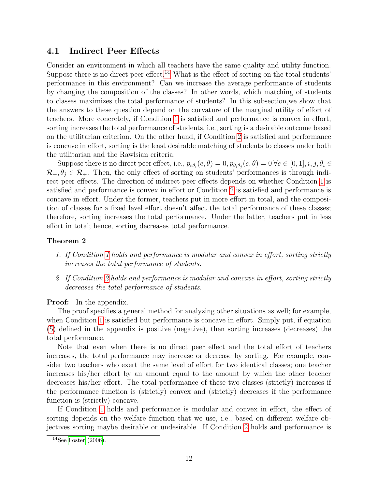#### 4.1 Indirect Peer Effects

Consider an environment in which all teachers have the same quality and utility function. Suppose there is no direct peer effect.<sup>[14](#page-12-0)</sup> What is the effect of sorting on the total students' performance in this environment? Can we increase the average performance of students by changing the composition of the classes? In other words, which matching of students to classes maximizes the total performance of students? In this subsection,we show that the answers to these question depend on the curvature of the marginal utility of effort of teachers. More concretely, if Condition [1](#page-8-0) is satisfied and performance is convex in effort, sorting increases the total performance of students, i.e., sorting is a desirable outcome based on the utilitarian criterion. On the other hand, if Condition [2](#page-8-1) is satisfied and performance is concave in effort, sorting is the least desirable matching of students to classes under both the utilitarian and the Rawlsian criteria.

Suppose there is no direct peer effect, i.e.,  $p_{e\theta_i}(e, \theta) = 0$ ,  $p_{\theta_i\theta_j}(e, \theta) = 0 \ \forall e \in [0, 1], i, j, \theta_i \in$  $\mathcal{R}_+$ ,  $\theta_j \in \mathcal{R}_+$ . Then, the only effect of sorting on students' performances is through indirect peer effects. The direction of indirect peer effects depends on whether Condition [1](#page-8-0) is satisfied and performance is convex in effort or Condition [2](#page-8-1) is satisfied and performance is concave in effort. Under the former, teachers put in more effort in total, and the composition of classes for a fixed level effort doesn't affect the total performance of these classes; therefore, sorting increases the total performance. Under the latter, teachers put in less effort in total; hence, sorting decreases total performance.

#### <span id="page-12-1"></span>Theorem 2

- 1. If Condition [1](#page-8-0) holds and performance is modular and convex in effort, sorting strictly increases the total performance of students.
- 2. If Condition [2](#page-8-1) holds and performance is modular and concave in effort, sorting strictly decreases the total performance of students.

**Proof:** In the appendix.

The proof specifies a general method for analyzing other situations as well; for example, when Condition [1](#page-8-0) is satisfied but performance is concave in effort. Simply put, if equation [\(5\)](#page-21-0) defined in the appendix is positive (negative), then sorting increases (decreases) the total performance.

Note that even when there is no direct peer effect and the total effort of teachers increases, the total performance may increase or decrease by sorting. For example, consider two teachers who exert the same level of effort for two identical classes; one teacher increases his/her effort by an amount equal to the amount by which the other teacher decreases his/her effort. The total performance of these two classes (strictly) increases if the performance function is (strictly) convex and (strictly) decreases if the performance function is (strictly) concave.

If Condition [1](#page-8-0) holds and performance is modular and convex in effort, the effect of sorting depends on the welfare function that we use, i.e., based on different welfare objectives sorting maybe desirable or undesirable. If Condition [2](#page-8-1) holds and performance is

<span id="page-12-0"></span> $14$ See [Foster](#page-25-13) [\(2006\)](#page-25-13).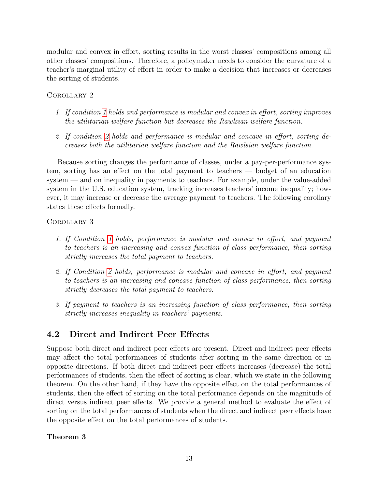modular and convex in effort, sorting results in the worst classes' compositions among all other classes' compositions. Therefore, a policymaker needs to consider the curvature of a teacher's marginal utility of effort in order to make a decision that increases or decreases the sorting of students.

#### Corollary 2

- 1. If condition [1](#page-8-0) holds and performance is modular and convex in effort, sorting improves the utilitarian welfare function but decreases the Rawlsian welfare function.
- 2. If condition [2](#page-8-1) holds and performance is modular and concave in effort, sorting decreases both the utilitarian welfare function and the Rawlsian welfare function.

Because sorting changes the performance of classes, under a pay-per-performance system, sorting has an effect on the total payment to teachers — budget of an education system — and on inequality in payments to teachers. For example, under the value-added system in the U.S. education system, tracking increases teachers' income inequality; however, it may increase or decrease the average payment to teachers. The following corollary states these effects formally.

#### Corollary 3

- <span id="page-13-1"></span>1. If Condition [1](#page-8-0) holds, performance is modular and convex in effort, and payment to teachers is an increasing and convex function of class performance, then sorting strictly increases the total payment to teachers.
- 2. If Condition [2](#page-8-1) holds, performance is modular and concave in effort, and payment to teachers is an increasing and concave function of class performance, then sorting strictly decreases the total payment to teachers.
- 3. If payment to teachers is an increasing function of class performance, then sorting strictly increases inequality in teachers' payments.

### 4.2 Direct and Indirect Peer Effects

Suppose both direct and indirect peer effects are present. Direct and indirect peer effects may affect the total performances of students after sorting in the same direction or in opposite directions. If both direct and indirect peer effects increases (decrease) the total performances of students, then the effect of sorting is clear, which we state in the following theorem. On the other hand, if they have the opposite effect on the total performances of students, then the effect of sorting on the total performance depends on the magnitude of direct versus indirect peer effects. We provide a general method to evaluate the effect of sorting on the total performances of students when the direct and indirect peer effects have the opposite effect on the total performances of students.

#### <span id="page-13-0"></span>Theorem 3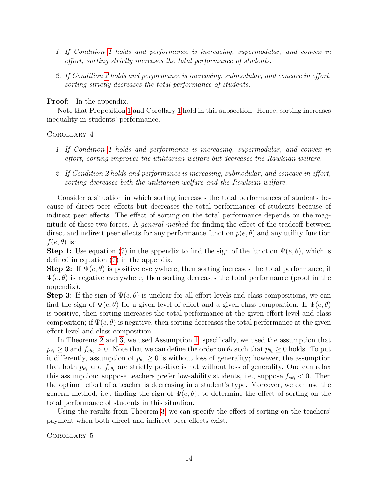- 1. If Condition [1](#page-8-0) holds and performance is increasing, supermodular, and convex in effort, sorting strictly increases the total performance of students.
- 2. If Condition [2](#page-8-1) holds and performance is increasing, submodular, and concave in effort, sorting strictly decreases the total performance of students.

#### Proof: In the appendix.

Note that Proposition [1](#page-7-1) and Corollary [1](#page-7-2) hold in this subsection. Hence, sorting increases inequality in students' performance.

#### Corollary 4

- 1. If Condition [1](#page-8-0) holds and performance is increasing, supermodular, and convex in effort, sorting improves the utilitarian welfare but decreases the Rawlsian welfare.
- 2. If Condition [2](#page-8-1) holds and performance is increasing, submodular, and concave in effort, sorting decreases both the utilitarian welfare and the Rawlsian welfare.

Consider a situation in which sorting increases the total performances of students because of direct peer effects but decreases the total performances of students because of indirect peer effects. The effect of sorting on the total performance depends on the magnitude of these two forces. A general method for finding the effect of the tradeoff between direct and indirect peer effects for any performance function  $p(e, \theta)$  and any utility function  $f(e, \theta)$  is:

**Step 1:** Use equation [\(7\)](#page-22-0) in the appendix to find the sign of the function  $\Psi(e, \theta)$ , which is defined in equation [\(7\)](#page-22-0) in the appendix.

**Step 2:** If  $\Psi(e, \theta)$  is positive everywhere, then sorting increases the total performance; if  $\Psi(e, \theta)$  is negative everywhere, then sorting decreases the total performance (proof in the appendix).

**Step 3:** If the sign of  $\Psi(e, \theta)$  is unclear for all effort levels and class compositions, we can find the sign of  $\Psi(e, \theta)$  for a given level of effort and a given class composition. If  $\Psi(e, \theta)$ is positive, then sorting increases the total performance at the given effort level and class composition; if  $\Psi(e, \theta)$  is negative, then sorting decreases the total performance at the given effort level and class composition.

In Theorems [2](#page-12-1) and [3,](#page-13-0) we used Assumption [1;](#page-6-3) specifically, we used the assumption that  $p_{\theta_i} \geq 0$  and  $f_{e\theta_i} > 0$ . Note that we can define the order on  $\theta_i$  such that  $p_{\theta_i} \geq 0$  holds. To put it differently, assumption of  $p_{\theta_i} \geq 0$  is without loss of generality; however, the assumption that both  $p_{\theta_i}$  and  $f_{e\theta_i}$  are strictly positive is not without loss of generality. One can relax this assumption: suppose teachers prefer low-ability students, i.e., suppose  $f_{e\theta_i} < 0$ . Then the optimal effort of a teacher is decreasing in a student's type. Moreover, we can use the general method, i.e., finding the sign of  $\Psi(e, \theta)$ , to determine the effect of sorting on the total performance of students in this situation.

Using the results from Theorem [3,](#page-13-0) we can specify the effect of sorting on the teachers' payment when both direct and indirect peer effects exist.

Corollary 5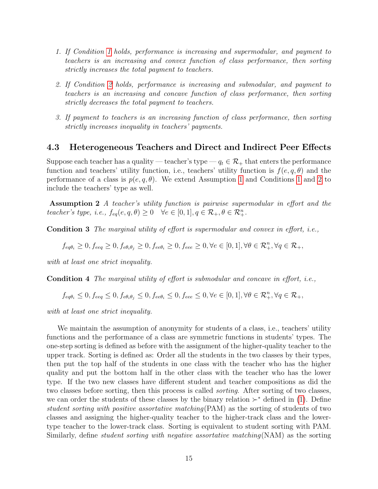- 1. If Condition [1](#page-8-0) holds, performance is increasing and supermodular, and payment to teachers is an increasing and convex function of class performance, then sorting strictly increases the total payment to teachers.
- 2. If Condition [2](#page-8-1) holds, performance is increasing and submodular, and payment to teachers is an increasing and concave function of class performance, then sorting strictly decreases the total payment to teachers.
- 3. If payment to teachers is an increasing function of class performance, then sorting strictly increases inequality in teachers' payments.

#### <span id="page-15-0"></span>4.3 Heterogeneous Teachers and Direct and Indirect Peer Effects

Suppose each teacher has a quality — teacher's type —  $q_t \in \mathcal{R}_+$  that enters the performance function and teachers' utility function, i.e., teachers' utility function is  $f(e, q, \theta)$  and the performance of a class is  $p(e, q, \theta)$ . We extend Assumption [1](#page-8-0) and Conditions 1 and [2](#page-8-1) to include the teachers' type as well.

<span id="page-15-1"></span>Assumption 2 A teacher's utility function is pairwise supermodular in effort and the teacher's type, i.e.,  $f_{eq}(e, q, \theta) \ge 0 \quad \forall e \in [0, 1], q \in \mathcal{R}_+, \theta \in \mathcal{R}_+^n$ .

<span id="page-15-2"></span>Condition 3 The marginal utility of effort is supermodular and convex in effort, i.e.,

 $f_{eq\theta_i} \geq 0, f_{eq\theta_i} \geq 0, f_{e\theta_i\theta_j} \geq 0, f_{ee\theta_i} \geq 0, f_{eee} \geq 0, \forall e \in [0, 1], \forall \theta \in \mathcal{R}_+^n, \forall q \in \mathcal{R}_+,$ 

with at least one strict inequality.

<span id="page-15-3"></span>Condition 4 The marginal utility of effort is submodular and concave in effort, i.e.,

 $f_{eq\theta_i} \leq 0, f_{eq\theta_i} \leq 0, f_{e\theta_i\theta_j} \leq 0, f_{ee\theta_i} \leq 0, f_{eee} \leq 0, \forall e \in [0, 1], \forall \theta \in \mathcal{R}_+^n, \forall q \in \mathcal{R}_+,$ 

with at least one strict inequality.

We maintain the assumption of anonymity for students of a class, i.e., teachers' utility functions and the performance of a class are symmetric functions in students' types. The one-step sorting is defined as before with the assignment of the higher-quality teacher to the upper track. Sorting is defined as: Order all the students in the two classes by their types, then put the top half of the students in one class with the teacher who has the higher quality and put the bottom half in the other class with the teacher who has the lower type. If the two new classes have different student and teacher compositions as did the two classes before sorting, then this process is called sorting. After sorting of two classes, we can order the students of these classes by the binary relation  $\succ^*$  defined in [\(1\)](#page-5-1). Define student sorting with positive assortative matching(PAM) as the sorting of students of two classes and assigning the higher-quality teacher to the higher-track class and the lowertype teacher to the lower-track class. Sorting is equivalent to student sorting with PAM. Similarly, define *student sorting with negative assortative matching*  $(NAM)$  as the sorting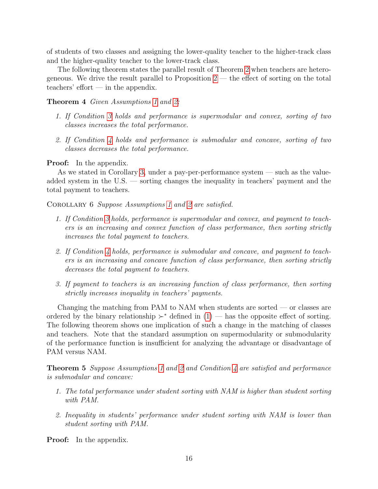of students of two classes and assigning the lower-quality teacher to the higher-track class and the higher-quality teacher to the lower-track class.

The following theorem states the parallel result of Theorem [2](#page-12-1) when teachers are heterogeneous. We drive the result parallel to Proposition  $2$  — the effect of sorting on the total teachers' effort  $\frac{1}{\sqrt{1-\frac{1}{\sqrt{1-\frac{1}{\sqrt{1-\frac{1}{\sqrt{1-\frac{1}{\sqrt{1-\frac{1}{\sqrt{1-\frac{1}{\sqrt{1-\frac{1}{\sqrt{1-\frac{1}{\sqrt{1-\frac{1}{\sqrt{1-\frac{1}{\sqrt{1-\frac{1}{\sqrt{1-\frac{1}{\sqrt{1-\frac{1}{\sqrt{1-\frac{1}{\sqrt{1-\frac{1}{\sqrt{1-\frac{1}{\sqrt{1-\frac{1}{\sqrt{1-\frac{1}{\sqrt{1-\frac{1}{\sqrt{1-\frac{1}{\sqrt{1-\frac{1}{\sqrt{1-\frac{1}{$ 

Theorem 4 Given Assumptions [1](#page-6-3) and [2:](#page-15-1)

- <span id="page-16-0"></span>1. If Condition [3](#page-15-2) holds and performance is supermodular and convex, sorting of two classes increases the total performance.
- 2. If Condition [4](#page-15-3) holds and performance is submodular and concave, sorting of two classes decreases the total performance.

Proof: In the appendix.

As we stated in Corollary [3,](#page-13-1) under a pay-per-performance system — such as the valueadded system in the U.S. — sorting changes the inequality in teachers' payment and the total payment to teachers.

COROLLARY 6 Suppose Assumptions [1](#page-6-3) and [2](#page-15-1) are satisfied.

- 1. If Condition [3](#page-15-2) holds, performance is supermodular and convex, and payment to teachers is an increasing and convex function of class performance, then sorting strictly increases the total payment to teachers.
- 2. If Condition [4](#page-15-3) holds, performance is submodular and concave, and payment to teachers is an increasing and concave function of class performance, then sorting strictly decreases the total payment to teachers.
- 3. If payment to teachers is an increasing function of class performance, then sorting strictly increases inequality in teachers' payments.

Changing the matching from PAM to NAM when students are sorted — or classes are ordered by the binary relationship  $\succ^*$  defined in [\(1\)](#page-5-1) — has the opposite effect of sorting. The following theorem shows one implication of such a change in the matching of classes and teachers. Note that the standard assumption on supermodularity or submodularity of the performance function is insufficient for analyzing the advantage or disadvantage of PAM versus NAM.

<span id="page-16-1"></span>Theorem 5 Suppose Assumptions [1](#page-6-3) and [2](#page-15-1) and Condition [4](#page-15-3) are satisfied and performance is submodular and concave:

- 1. The total performance under student sorting with NAM is higher than student sorting with PAM.
- 2. Inequality in students' performance under student sorting with NAM is lower than student sorting with PAM.

**Proof:** In the appendix.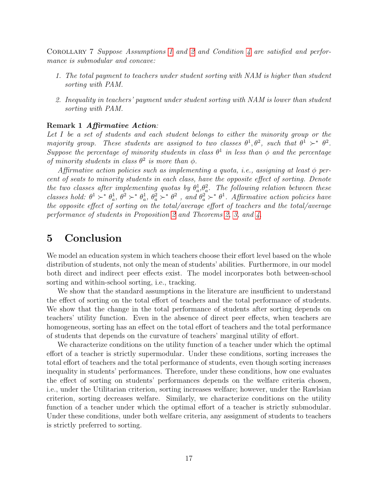COROLLARY 7 Suppose Assumptions [1](#page-6-3) and [2](#page-15-1) and Condition [4](#page-15-3) are satisfied and performance is submodular and concave:

- 1. The total payment to teachers under student sorting with NAM is higher than student sorting with PAM.
- 2. Inequality in teachers' payment under student sorting with NAM is lower than student sorting with PAM.

#### Remark 1 Affirmative Action:

Let I be a set of students and each student belongs to either the minority group or the majority group. These students are assigned to two classes  $\theta^1$ ,  $\theta^2$ , such that  $\theta^1$   $\succ^*$   $\theta^2$ . Suppose the percentage of minority students in class  $\theta^1$  in less than  $\phi$  and the percentage of minority students in class  $\theta^2$  is more than  $\phi$ .

Affirmative action policies such as implementing a quota, i.e., assigning at least  $\phi$  percent of seats to minority students in each class, have the opposite effect of sorting. Denote the two classes after implementing quotas by  $\theta_a^1, \theta_a^2$ . The following relation between these classes hold:  $\theta^1 \succ^* \theta^1_a$ ,  $\theta^2 \succ^* \theta^1_a$ ,  $\theta^2_a \succ^* \theta^2$ , and  $\theta^2_a \succ^* \theta^1$ . Affirmative action policies have the opposite effect of sorting on the total/average effort of teachers and the total/average performance of students in Proposition [2](#page-10-2) and Theorems [2,](#page-12-1) [3,](#page-13-0) and [4.](#page-16-0)

## 5 Conclusion

We model an education system in which teachers choose their effort level based on the whole distribution of students, not only the mean of students' abilities. Furthermore, in our model both direct and indirect peer effects exist. The model incorporates both between-school sorting and within-school sorting, i.e., tracking.

We show that the standard assumptions in the literature are insufficient to understand the effect of sorting on the total effort of teachers and the total performance of students. We show that the change in the total performance of students after sorting depends on teachers' utility function. Even in the absence of direct peer effects, when teachers are homogeneous, sorting has an effect on the total effort of teachers and the total performance of students that depends on the curvature of teachers' marginal utility of effort.

We characterize conditions on the utility function of a teacher under which the optimal effort of a teacher is strictly supermodular. Under these conditions, sorting increases the total effort of teachers and the total performance of students, even though sorting increases inequality in students' performances. Therefore, under these conditions, how one evaluates the effect of sorting on students' performances depends on the welfare criteria chosen, i.e., under the Utilitarian criterion, sorting increases welfare; however, under the Rawlsian criterion, sorting decreases welfare. Similarly, we characterize conditions on the utility function of a teacher under which the optimal effort of a teacher is strictly submodular. Under these conditions, under both welfare criteria, any assignment of students to teachers is strictly preferred to sorting.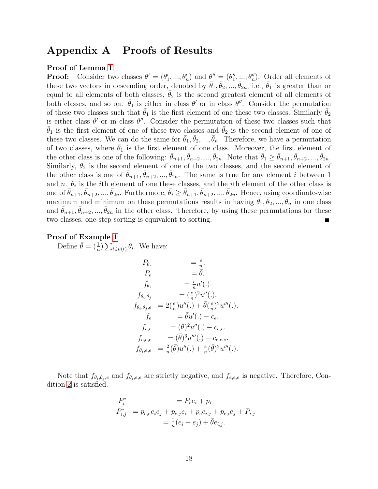## Appendix A Proofs of Results

#### Proof of Lemma [1](#page-5-2)

**Proof:** Consider two classes  $\theta' = (\theta'_1, ..., \theta'_n)$  and  $\theta'' = (\theta''_1, ..., \theta''_n)$ . Order all elements of these two vectors in descending order, denoted by  $\bar{\theta}_1, \bar{\theta}_2, ..., \bar{\theta}_{2n}$ , i.e.,  $\bar{\theta}_1$  is greater than or equal to all elements of both classes,  $\theta_2$  is the second greatest element of all elements of both classes, and so on.  $\bar{\theta}_1$  is either in class  $\theta'$  or in class  $\theta''$ . Consider the permutation of these two classes such that  $\theta_1$  is the first element of one these two classes. Similarly  $\theta_2$ is either class  $\theta'$  or in class  $\theta''$ . Consider the permutation of these two classes such that  $\theta_1$  is the first element of one of these two classes and  $\theta_2$  is the second element of one of these two classes. We can do the same for  $\bar{\theta}_1, \bar{\theta}_2, ..., \bar{\theta}_n$ . Therefore, we have a permutation of two classes, where  $\bar{\theta}_1$  is the first element of one class. Moreover, the first element of the other class is one of the following:  $\bar{\theta}_{n+1}, \bar{\theta}_{n+2}, ..., \bar{\theta}_{2n}$ . Note that  $\bar{\theta}_1 \geq \bar{\theta}_{n+1}, \bar{\theta}_{n+2}, ..., \bar{\theta}_{2n}$ . Similarly,  $\bar{\theta}_2$  is the second element of one of the two classes, and the second element of the other class is one of  $\bar{\theta}_{n+1}, \bar{\theta}_{n+2}, ..., \bar{\theta}_{2n}$ . The same is true for any element *i* between 1 and n.  $\bar{\theta}_i$  is the *i*th element of one these classes, and the *i*th element of the other class is one of  $\bar{\theta}_{n+1}, \bar{\theta}_{n+2}, ..., \bar{\theta}_{2n}$ . Furthermore,  $\bar{\theta}_i \ge \bar{\theta}_{n+1}, \bar{\theta}_{n+2}, ..., \bar{\theta}_{2n}$ . Hence, using coordinate-wise maximum and minimum on these permutations results in having  $\bar{\theta}_1, \bar{\theta}_2, ..., \bar{\theta}_n$  in one class and  $\bar{\theta}_{n+1}, \bar{\theta}_{n+2}, ..., \bar{\theta}_{2n}$  in the other class. Therefore, by using these permutations for these two classes, one-step sorting is equivalent to sorting.

#### Proof of Example [1](#page-7-3)

Define  $\bar{\theta} = (\frac{1}{n}) \sum_{i \in \mu(t)} \theta_i$ . We have:

$$
P_{\theta_i} = \frac{e}{n}.
$$
  
\n
$$
P_e = \bar{\theta}.
$$
  
\n
$$
f_{\theta_i} = \frac{e}{n}u'(.).
$$
  
\n
$$
f_{\theta_i,\theta_j,e} = 2(\frac{e}{n})^2u''(.).
$$
  
\n
$$
f_{\theta_i,\theta_j,e} = 2(\frac{e}{n})u''(.) + \bar{\theta}(\frac{e}{n})^2u'''(.).
$$
  
\n
$$
f_e = \bar{\theta}u'(.) - c_e.
$$
  
\n
$$
f_{e,e} = (\bar{\theta})^2u''(.) - c_{e,e}.
$$
  
\n
$$
f_{e,e,e} = (\bar{\theta})^3u'''(.) - c_{e,e,e}.
$$
  
\n
$$
f_{\theta_i,e,e} = \frac{2}{n}(\bar{\theta})u''(.) + \frac{e}{n}(\bar{\theta})^2u'''(.).
$$

Note that  $f_{\theta_i,\theta_j,e}$  and  $f_{\theta_i,e,e}$  are strictly negative, and  $f_{e,e,e}$  is negative. Therefore, Condition [2](#page-8-1) is satisfied.

$$
P_i^* = P_e e_i + p_i
$$
  
\n
$$
P_{i,j}^* = p_{e,e} e_i e_j + p_{e,j} e_i + p_{e} e_{i,j} + p_{e,i} e_j + P_{i,j}
$$
  
\n
$$
= \frac{1}{n} (e_i + e_j) + \overline{\theta} e_{i,j}.
$$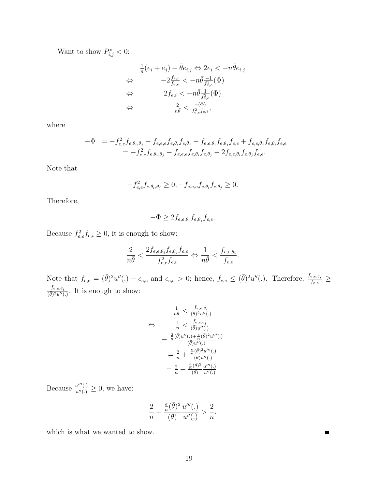Want to show  $P_{i,j}^* < 0$ :

$$
\frac{1}{n}(e_i + e_j) + \bar{\theta}e_{i,j} \Leftrightarrow 2e_i < -n\bar{\theta}e_{i,j}
$$
  

$$
\Leftrightarrow -2\frac{f_{e,i}}{f_{e,e}} < -n\bar{\theta}\frac{-1}{f_{e,e}^3}(\Phi)
$$
  

$$
\Leftrightarrow 2f_{e,i} < -n\bar{\theta}\frac{1}{f_{e,e}^2}(\Phi)
$$
  

$$
\Leftrightarrow \frac{2}{n\bar{\theta}} < \frac{-(\Phi)}{f_{e,e}^2f_{e,i}},
$$

where

$$
\begin{array}{lll} -\Phi & = -f_{e,e}^2 f_{e,\theta_i,\theta_j} - f_{e,e,e} f_{e,\theta_i} f_{e,\theta_j} + f_{e,e,\theta_i} f_{e,\theta_j} f_{e,e} + f_{e,e,\theta_j} f_{e,\theta_i} f_{e,e} \\ & = -f_{e,e}^2 f_{e,\theta_i,\theta_j} - f_{e,e,e} f_{e,\theta_i} f_{e,\theta_j} + 2 f_{e,e,\theta_i} f_{e,\theta_j} f_{e,e} .\end{array}
$$

Note that

$$
-f_{e,e}^{2}f_{e,\theta_{i},\theta_{j}} \geq 0, -f_{e,e,e}f_{e,\theta_{i}}f_{e,\theta_{j}} \geq 0.
$$

Therefore,

$$
-\Phi \geq 2f_{e,e,\theta_i}f_{e,\theta_j}f_{e,e}.
$$

Because  $f_{e,e}^2 f_{e,i} \geq 0$ , it is enough to show:

$$
\frac{2}{n\bar{\theta}} < \frac{2f_{e,e,\theta_i}f_{e,\theta_j}f_{e,e}}{f_{e,e}^2f_{e,i}} \Leftrightarrow \frac{1}{n\bar{\theta}} < \frac{f_{e,e,\theta_i}}{f_{e,e}}.
$$

Note that  $f_{e,e} = (\bar{\theta})^2 u''(.) - c_{e,e}$  and  $c_{e,e} > 0$ ; hence,  $f_{e,e} \leq (\bar{\theta})^2 u''(.)$ . Therefore,  $\frac{f_{e,e,\theta_i}}{f_{e,e}} \geq$  $f_{e,e,\theta_i}$  $\frac{Je,e,\theta_i}{(\theta)^2u''(.)}$ . It is enough to show:

$$
\frac{1}{n\theta} < \frac{f_{e,e,\theta_i}}{(\theta)^2 u''(.)}
$$
\n
$$
\Leftrightarrow \quad \frac{1}{n} < \frac{f_{e,e,\theta_i}}{(\theta)u''(.)}
$$
\n
$$
= \frac{\frac{2}{n}(\bar{\theta})u''(.) + \frac{e}{n}(\bar{\theta})^2 u'''(.)}{(\bar{\theta})u''(.)}
$$
\n
$$
= \frac{2}{n} + \frac{\frac{e}{n}(\bar{\theta})^2 u'''(.)}{(\bar{\theta})u''(.)}
$$
\n
$$
= \frac{2}{n} + \frac{\frac{e}{n}(\bar{\theta})^2}{(\bar{\theta})} \frac{u'''(.)}{u''(.)}.
$$

Because  $\frac{u'''(.)}{u''(.)} \geq 0$ , we have:

$$
\frac{2}{n}+\frac{\frac{e}{n}(\bar{\theta})^2}{(\bar{\theta})}\frac{u'''(.)}{u''(.)}>\frac{2}{n}.
$$

which is what we wanted to show.

 $\blacksquare$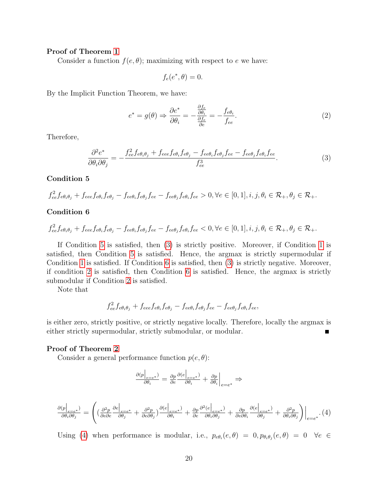#### Proof of Theorem [1](#page-8-2)

Consider a function  $f(e, \theta)$ ; maximizing with respect to e we have:

$$
f_e(e^*, \theta) = 0.
$$

By the Implicit Function Theorem, we have:

<span id="page-20-4"></span>
$$
e^* = g(\theta) \Rightarrow \frac{\partial e^*}{\partial \theta_i} = -\frac{\frac{\partial f_e}{\partial \theta_i}}{\frac{\partial f_e}{\partial e}} = -\frac{f_{e\theta_i}}{f_{ee}}.
$$
\n(2)

Therefore,

<span id="page-20-1"></span>
$$
\frac{\partial^2 e^*}{\partial \theta_i \partial \theta_j} = -\frac{f_{ee}^2 f_{e\theta_i \theta_j} + f_{eee} f_{e\theta_i} f_{e\theta_j} - f_{ee\theta_i} f_{e\theta_j} f_{ee} - f_{ee\theta_j} f_{e\theta_i} f_{ee}}{f_{ee}^3}.
$$
(3)

#### <span id="page-20-0"></span>Condition 5

 $f_{ee}^2 f_{e\theta_i\theta_j} + f_{eee} f_{e\theta_i} f_{e\theta_j} - f_{ee\theta_i} f_{e\theta_j} f_{ee} - f_{ee\theta_j} f_{e\theta_i} f_{ee} > 0, \forall e \in [0,1], i,j,\theta_i \in \mathcal{R}_+, \theta_j \in \mathcal{R}_+.$ 

#### <span id="page-20-2"></span>Condition 6

$$
f_{ee}^2 f_{e\theta_i\theta_j} + f_{eee} f_{e\theta_i} f_{e\theta_j} - f_{ee\theta_i} f_{e\theta_j} f_{ee} - f_{ee\theta_j} f_{e\theta_i} f_{ee} < 0, \forall e \in [0,1], i, j, \theta_i \in \mathcal{R}_+, \theta_j \in \mathcal{R}_+.
$$

If Condition [5](#page-20-0) is satisfied, then [\(3\)](#page-20-1) is strictly positive. Moreover, if Condition [1](#page-8-0) is satisfied, then Condition [5](#page-20-0) is satisfied. Hence, the argmax is strictly supermodular if Condition [1](#page-8-0) is satisfied. If Condition [6](#page-20-2) is satisfied, then [\(3\)](#page-20-1) is strictly negative. Moreover, if condition [2](#page-8-1) is satisfied, then Condition [6](#page-20-2) is satisfied. Hence, the argmax is strictly submodular if Condition [2](#page-8-1) is satisfied.

Note that

$$
f_{ee}^2f_{e\theta_i\theta_j}+f_{eee}f_{e\theta_i}f_{e\theta_j}-f_{ee\theta_i}f_{e\theta_j}f_{ee}-f_{ee\theta_j}f_{e\theta_i}f_{ee},
$$

is either zero, strictly positive, or strictly negative locally. Therefore, locally the argmax is either strictly supermodular, strictly submodular, or modular. Е

#### Proof of Theorem [2](#page-12-1)

Consider a general performance function  $p(e, \theta)$ :

$$
\frac{\partial (p\big|_{e=e^*})}{\partial \theta_i} = \frac{\partial p}{\partial e} \frac{\partial (e\big|_{e=e^*})}{\partial \theta_i} + \frac{\partial p}{\partial \theta_i}\Big|_{e=e^*} \Rightarrow
$$

<span id="page-20-3"></span>
$$
\frac{\partial (p|_{e=e^*})}{\partial \theta_i \partial \theta_j} = \left( \left( \frac{\partial^2 p}{\partial e \partial e} \frac{\partial e|_{e=e^*}}{\partial \theta_j} + \frac{\partial^2 p}{\partial e \partial \theta_j} \right) \frac{\partial (e|_{e=e^*})}{\partial \theta_i} + \frac{\partial p}{\partial e} \frac{\partial^2 (e|_{e=e^*})}{\partial \theta_i \partial \theta_j} + \frac{\partial p}{\partial e \partial \theta_i} \frac{\partial (e|_{e=e^*})}{\partial \theta_j} + \frac{\partial^2 p}{\partial \theta_i \partial \theta_j} \right) \Big|_{e=e^*} . \tag{4}
$$

Using [\(4\)](#page-20-3) when performance is modular, i.e.,  $p_{e\theta_i}(e, \theta) = 0$ ,  $p_{\theta_i\theta_j}(e, \theta) = 0$   $\forall e \in$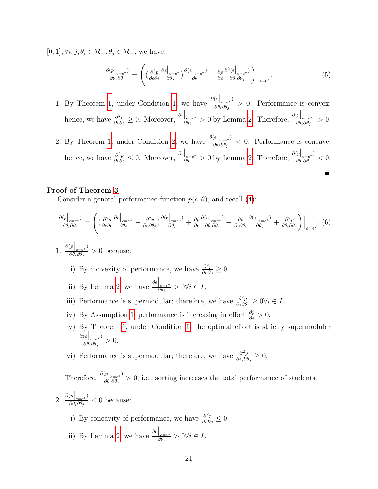$[0,1], \forall i,j,\theta_i \in \mathcal{R}_+, \theta_j \in \mathcal{R}_+,$  we have:

<span id="page-21-0"></span>
$$
\frac{\partial (p|_{e=e^*})}{\partial \theta_i \partial \theta_j} = \left( \left( \frac{\partial^2 p}{\partial e \partial e} \frac{\partial e|_{e=e^*}}{\partial \theta_j} \right) \frac{\partial (e|_{e=e^*})}{\partial \theta_i} + \frac{\partial p}{\partial e} \frac{\partial^2 (e|_{e=e^*})}{\partial \theta_i \partial \theta_j} \right) \Big|_{e=e^*}.
$$
\n
$$
(5)
$$

1. By Theorem [1,](#page-8-0) under Condition 1, we have  $\frac{\partial (e|_{e=e^*})}{\partial \theta \cdot \partial \theta}$  $\frac{\partial^{\alpha} e_{e=e^*}}{\partial \theta_i \partial \theta_j} > 0$ . Performance is convex, hence, we have  $\frac{\partial^2 p}{\partial e \partial e} \geq 0$ . Moreover,  $\frac{\partial e|_{e=e^*}}{\partial \theta_i}$  $\frac{\left| \theta_{e=e^*} \right|}{\partial \theta_i} > 0$  by Lemma [2.](#page-7-0) Therefore,  $\frac{\partial (p \right|_{e=e^*})}{\partial \theta_i \partial \theta_j}$  $\frac{\partial^{\alpha} |_{e=e^{*}}}{\partial \theta_{i} \partial \theta_{j}} > 0.$ 

2. By Theorem [1,](#page-8-2) under Condition [2,](#page-8-1) we have  $\frac{\partial (e|_{e=e^*})}{\partial \theta \cdot \partial \theta}$  $\frac{\partial^{\alpha} e^{-i\epsilon}}{\partial \theta_i \partial \theta_j} < 0$ . Performance is concave, hence, we have  $\frac{\partial^2 p}{\partial e \partial e} \leq 0$ . Moreover,  $\frac{\partial e|_{e=e^*}}{\partial \theta_i}$  $\frac{\left| \theta_{e=e^*} \right|}{\partial \theta_i} > 0$  by Lemma [2.](#page-7-0) Therefore,  $\frac{\partial (p \right|_{e=e^*})}{\partial \theta_i \partial \theta_j}$  $\frac{\partial^{\alpha} |_{e=e^{*}}}{\partial \theta_i \partial \theta_j} < 0.$ 

#### Proof of Theorem [3](#page-13-0)

Consider a general performance function  $p(e, \theta)$ , and recall [\(4\)](#page-20-3):

$$
\frac{\partial (p|_{e=e^*})}{\partial \theta_i \partial \theta_j} = \left( \left( \frac{\partial^2 p}{\partial e \partial e} \frac{\partial e|_{e=e^*}}{\partial \theta_j} + \frac{\partial^2 p}{\partial e \partial \theta_j} \right) \frac{\partial (e|_{e=e^*})}{\partial \theta_i} + \frac{\partial p}{\partial e} \frac{\partial (e|_{e=e^*})}{\partial \theta_i \partial \theta_j} + \frac{\partial p}{\partial e \partial \theta_i} \frac{\partial (e|_{e=e^*})}{\partial \theta_j} + \frac{\partial^2 p}{\partial \theta_i \partial \theta_j} \right) \Big|_{e=e^*}. \tag{6}
$$

1. 
$$
\frac{\partial (p|_{e=e^*})}{\partial \theta_i \partial \theta_j} > 0
$$
 because:

- i) By convexity of performance, we have  $\frac{\partial^2 p}{\partial e \partial e} \geq 0$ .
- ii) By Lemma [2,](#page-7-0) we have  $\frac{\partial e|_{e=e^*}}{\partial \theta}$  $\frac{1_{e=e^*}}{\partial \theta_i} > 0 \forall i \in I.$
- iii) Performance is supermodular; therefore, we have  $\frac{\partial^2 p}{\partial e \partial \theta}$  $\frac{\partial^2 p}{\partial e \partial \theta_i} \geq 0 \forall i \in I.$
- iv) By Assumption [1,](#page-6-3) performance is increasing in effort  $\frac{\partial p}{\partial e} > 0$ .
- v) By Theorem [1,](#page-8-2) under Condition [1,](#page-8-0) the optimal effort is strictly supermodular  $\frac{\partial (e|_{e=e^*})}{\partial (e-e^*)}$  $\frac{\partial \Theta|_{e=e^{*}}}{\partial \theta_{i} \partial \theta_{j}} > 0.$
- vi) Performance is supermodular; therefore, we have  $\frac{\partial^2 p}{\partial \theta \cdot \partial t}$  $\frac{\partial^2 p}{\partial \theta_i \partial \theta_j} \geq 0.$

Therefore,  $\frac{\partial (p|_{e=e^*})}{\partial \theta \cdot \partial \theta}$  $\frac{\partial^{\alpha} I_{e=e^*}}{\partial \theta_i \partial \theta_j} > 0$ , i.e., sorting increases the total performance of students.

2.  $\frac{\partial (p|_{e=e^*})}{\partial \theta \cdot \partial \theta}$  $\frac{\partial^{\alpha} e^{-e^{*}}}{\partial \theta_i \partial \theta_j} < 0$  because:

i) By concavity of performance, we have  $\frac{\partial^2 p}{\partial e \partial e} \leq 0$ .

ii) By Lemma [2,](#page-7-0) we have  $\frac{\partial e|_{e=e^*}}{\partial \theta}$  $\frac{e=e^*}{\partial \theta_i} > 0 \forall i \in I.$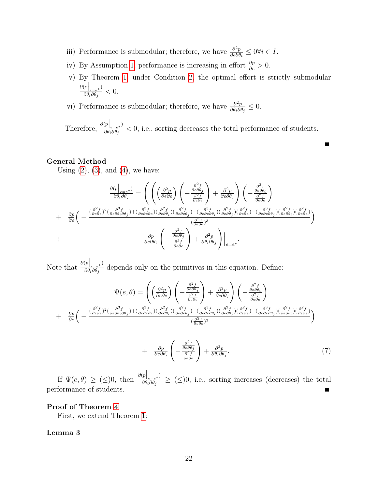- iii) Performance is submodular; therefore, we have  $\frac{\partial^2 p}{\partial \epsilon \partial \theta}$  $\frac{\partial^2 p}{\partial e \partial \theta_i} \leq 0 \forall i \in I.$
- iv) By Assumption [1,](#page-6-3) performance is increasing in effort  $\frac{\partial p}{\partial e} > 0$ .
- v) By Theorem [1,](#page-8-2) under Condition [2,](#page-8-1) the optimal effort is strictly submodular  $\frac{\partial (e|_{e=e^*})}{\partial (e-e^*)}$  $\frac{\partial \Theta_{e=e^*} f}{\partial \theta_i \partial \theta_j} < 0.$

vi) Performance is submodular; therefore, we have  $\frac{\partial^2 p}{\partial \theta \cdot \partial t}$  $\frac{\partial^2 p}{\partial \theta_i \partial \theta_j} \leq 0.$ 

Therefore,  $\frac{\partial (p|_{e=e^*})}{\partial \theta \cdot \partial \theta}$  $\frac{\partial \mathcal{L}|_{e=e^*}}{\partial \theta_i \partial \theta_j}$  < 0, i.e., sorting decreases the total performance of students.

#### General Method

Using  $(2)$ ,  $(3)$ , and  $(4)$ , we have:

$$
\frac{\partial (p|_{e=e^*})}{\partial \theta_i \partial \theta_j} = \left( \left( \left( \frac{\partial^2 p}{\partial e \partial e} \right) \left( -\frac{\frac{\partial^2 f}{\partial e \partial \theta_j}}{\frac{\partial^2 f}{\partial e \partial e}} \right) + \frac{\partial^2 p}{\partial e \partial \theta_j} \right) \left( -\frac{\frac{\partial^2 f}{\partial e \partial \theta_i}}{\frac{\partial^2 f}{\partial e \partial e}} \right) \right)
$$
\n
$$
+ \frac{\partial p}{\partial e} \left( -\frac{(\frac{\partial^2 f}{\partial e \partial e})^2 (\frac{\partial^3 f}{\partial e \partial \theta_i \partial \theta_j}) + (\frac{\partial^3 f}{\partial e \partial e \partial e}) (\frac{\partial^2 f}{\partial e \partial \theta_i})(\frac{\partial^2 f}{\partial e \partial e \theta_j}) - (\frac{\partial^3 f}{\partial e \partial \theta_i})(\frac{\partial^2 f}{\partial e \partial \theta_j})(\frac{\partial^2 f}{\partial e \partial e}) - (\frac{\partial^3 f}{\partial e \partial e \partial \theta_j})(\frac{\partial^2 f}{\partial e \partial \theta_i})(\frac{\partial^2 f}{\partial e \partial \theta_i})(\frac{\partial^2 f}{\partial e \partial \theta_i}) \right)
$$
\n
$$
+ \frac{\partial p}{\partial e \partial \theta_i} \left( -\frac{\frac{\partial^2 f}{\partial e \partial \theta_j}}{\frac{\partial^2 f}{\partial e \partial e}} \right) + \frac{\partial^2 p}{\partial \theta_i \partial \theta_j} \right) \Big|_{e=e^*}.
$$

Note that  $\frac{\partial (p|_{e=e^*})}{\partial \theta \cdot \partial \theta}$  $\frac{\partial^{\alpha}I_{e=e^{*}}}{\partial\theta_{i}\partial\theta_{j}}$  depends only on the primitives in this equation. Define:

$$
\Psi(e,\theta) = \left( \left( \frac{\partial^2 p}{\partial e \partial e} \right) \left( -\frac{\frac{\partial^2 f}{\partial e \partial \theta_j}}{\frac{\partial^2 f}{\partial e \partial e}} \right) + \frac{\partial^2 p}{\partial e \partial \theta_j} \right) \left( -\frac{\frac{\partial^2 f}{\partial e \partial \theta_i}}{\frac{\partial^2 f}{\partial e \partial e}} \right)
$$
\n
$$
+ \frac{\partial p}{\partial e} \left( -\frac{\left( \frac{\partial^2 f}{\partial e \partial e} \right)^2 \left( \frac{\partial^3 f}{\partial e \partial \theta_i \partial \theta_j} \right) + \left( \frac{\partial^3 f}{\partial e \partial e \partial e} \right) \left( \frac{\partial^2 f}{\partial e \partial e \theta_j} \right) \left( \frac{\partial^2 f}{\partial e \partial e \partial \theta_j} \right) \left( \frac{\partial^2 f}{\partial e \partial \theta_j} \right) \left( \frac{\partial^2 f}{\partial e \partial e} \right) - \left( \frac{\partial^3 f}{\partial e \partial e \partial \theta_j} \right) \left( \frac{\partial^2 f}{\partial e \partial e} \right) \left( \frac{\partial^2 f}{\partial e \partial e \partial \theta_j} \right) \left( \frac{\partial^2 f}{\partial e \partial e \partial \theta_j} \right) \left( \frac{\partial^2 f}{\partial e \partial e \partial \theta_j} \right) \left( \frac{\partial^2 f}{\partial e \partial e \partial \theta_j} \right) \left( \frac{\partial^2 f}{\partial e \partial e \partial \theta_j} \right) \left( \frac{\partial^2 f}{\partial e \partial e \partial \theta_j} \right) \left( \frac{\partial^2 f}{\partial e \partial e \partial \theta_j} \right) \left( \frac{\partial^2 f}{\partial e \partial e \partial \theta_j} \right) \left( \frac{\partial^2 f}{\partial e \partial e \partial \theta_j} \right) \left( \frac{\partial^2 f}{\partial e \partial e \partial \theta_j} \right) \left( \frac{\partial^2 f}{\partial e \partial e \partial \theta_j} \right) \left( \frac{\partial^2 f}{\partial e \partial e \partial \theta_j} \right) \left( \frac{\partial^2 f}{\partial e \partial e \partial \theta_j} \right) \left( \frac{\partial^2 f}{\partial e \partial e \partial \theta_j} \right) \left( \frac{\partial^2 f}{\partial e \partial e \partial
$$

<span id="page-22-0"></span>
$$
+ \frac{\partial p}{\partial e \partial \theta_i} \left( -\frac{\frac{\partial^2 f}{\partial e \partial \theta_j}}{\frac{\partial^2 f}{\partial e \partial e}} \right) + \frac{\partial^2 p}{\partial \theta_i \partial \theta_j}.
$$
\n
$$
\tag{7}
$$

Г

If  $\Psi(e,\theta) \geq (\leq)0$ , then  $\frac{\partial (p|_{e=e^*})}{\partial \theta \cdot \partial \theta}$  $\frac{\partial P|_{e=e^*}}{\partial \theta_i \partial \theta_j} \geq (\leq)0$ , i.e., sorting increases (decreases) the total performance of students.  $\blacksquare$ 

#### Proof of Theorem [4](#page-16-0)

First, we extend Theorem [1:](#page-8-2)

#### <span id="page-22-1"></span>Lemma 3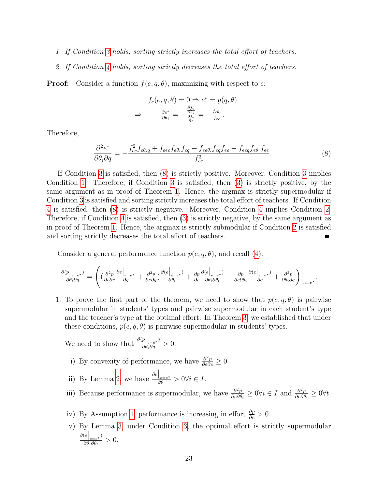- 1. If Condition [3](#page-15-2) holds, sorting strictly increases the total effort of teachers.
- 2. If Condition [4](#page-15-3) holds, sorting strictly decreases the total effort of teachers.

**Proof:** Consider a function  $f(e, q, \theta)$ , maximizing with respect to e:

$$
f_e(e, q, \theta) = 0 \Rightarrow e^* = g(q, \theta)
$$

$$
\Rightarrow \frac{\partial e^*}{\partial \theta_i} = -\frac{\frac{\partial f_e}{\partial \theta_i}}{\frac{\partial f_e}{\partial e}} = -\frac{f_e \theta_i}{f_{ee}}.
$$

Therefore,

<span id="page-23-0"></span>
$$
\frac{\partial^2 e^*}{\partial \theta_i \partial q} = -\frac{f_{ee}^2 f_{e\theta_i q} + f_{eee} f_{e\theta_i} f_{eq} - f_{ee\theta_i} f_{eq} f_{ee} - f_{eeq} f_{e\theta_i} f_{ee}}{f_{ee}^3}.
$$
\n(8)

If Condition [3](#page-15-2) is satisfied, then [\(8\)](#page-23-0) is strictly positive. Moreover, Condition [3](#page-15-2) implies Condition [1.](#page-8-0) Therefore, if Condition [3](#page-15-2) is satisfied, then [\(3\)](#page-20-1) is strictly positive, by the same argument as in proof of Theorem [1.](#page-8-2) Hence, the argmax is strictly supermodular if Condition [3](#page-15-2) is satisfied and sorting strictly increases the total effort of teachers. If Condition [4](#page-15-3) is satisfied, then [\(8\)](#page-23-0) is strictly negative. Moreover, Condition [4](#page-15-3) implies Condition [2.](#page-8-1) Therefore, if Condition [4](#page-15-3) is satisfied, then [\(3\)](#page-20-1) is strictly negative, by the same argument as in proof of Theorem [1.](#page-8-2) Hence, the argmax is strictly submodular if Condition [2](#page-8-1) is satisfied and sorting strictly decreases the total effort of teachers.

Consider a general performance function  $p(e, q, \theta)$ , and recall [\(4\)](#page-20-3):

$$
\frac{\partial (p \big|_{e=e^*})}{\partial \theta_i \partial q} = \left( \left( \frac{\partial^2 p}{\partial e \partial e} \frac{\partial e \big|_{e=e^*}}{\partial q} + \frac{\partial^2 p}{\partial e \partial q} \right) \frac{\partial (e \big|_{e=e^*})}{\partial \theta_i} + \frac{\partial p}{\partial e} \frac{\partial (e \big|_{e=e^*})}{\partial \theta_i \partial \theta_t} + \frac{\partial p}{\partial e \partial \theta_i} \frac{\partial (e \big|_{e=e^*})}{\partial q} + \frac{\partial^2 p}{\partial \theta_i \partial q} \right) \big|_{e=e^*}.
$$

1. To prove the first part of the theorem, we need to show that  $p(e, q, \theta)$  is pairwise supermodular in students' types and pairwise supermodular in each student's type and the teacher's type at the optimal effort. In Theorem [3,](#page-13-0) we established that under these conditions,  $p(e, q, \theta)$  is pairwise supermodular in students' types.

We need to show that  $\frac{\partial (p|_{e=e^*})}{\partial \theta_i \partial q} > 0$ :

- i) By convexity of performance, we have  $\frac{\partial^2 p}{\partial e \partial e} \geq 0$ .
- ii) By Lemma [2,](#page-7-0) we have  $\frac{\partial e|_{e=e^*}}{\partial \theta}$  $\frac{1_{e=e^*}}{\partial \theta_i} > 0 \forall i \in I.$
- iii) Because performance is supermodular, we have  $\frac{\partial^2 p}{\partial \epsilon \partial \theta}$  $\frac{\partial^2 p}{\partial e \partial \theta_i} \ge 0 \forall i \in I$  and  $\frac{\partial^2 p}{\partial e \partial \theta}$  $\frac{\partial^2 p}{\partial e \partial \theta_t} \geq 0 \forall t.$
- iv) By Assumption [1,](#page-6-3) performance is increasing in effort  $\frac{\partial p}{\partial e} > 0$ .
- v) By Lemma [3,](#page-22-1) under Condition [3,](#page-15-2) the optimal effort is strictly supermodular  $\frac{\partial (e|_{e=e^*})}{\partial e^*}$  $\frac{\partial \Theta_{e=e^*}}{\partial \theta_i \partial \theta_t} > 0.$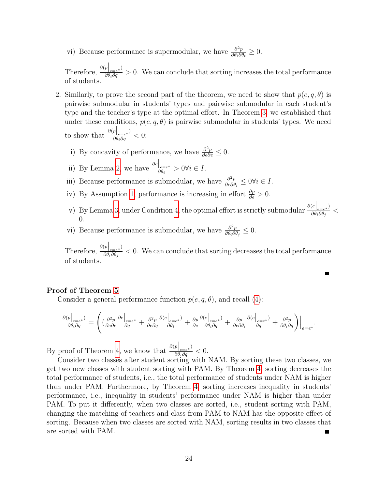vi) Because performance is supermodular, we have  $\frac{\partial^2 p}{\partial \theta \cdot \partial t}$  $\frac{\partial^2 p}{\partial \theta_i \partial \theta_t} \geq 0.$ 

Therefore,  $\frac{\partial (p|_{e=e^*})}{\partial \theta_i \partial q} > 0$ . We can conclude that sorting increases the total performance of students.

- 2. Similarly, to prove the second part of the theorem, we need to show that  $p(e, q, \theta)$  is pairwise submodular in students' types and pairwise submodular in each student's type and the teacher's type at the optimal effort. In Theorem [3,](#page-13-0) we established that under these conditions,  $p(e, q, \theta)$  is pairwise submodular in students' types. We need to show that  $\frac{\partial (p|_{e=e^*})}{\partial \theta_i \partial q} < 0$ :
	- i) By concavity of performance, we have  $\frac{\partial^2 p}{\partial e \partial e} \leq 0$ .
	- ii) By Lemma [2,](#page-7-0) we have  $\frac{\partial e|_{e=e^*}}{\partial \theta}$  $\frac{e}{\partial \theta_i} > 0 \forall i \in I$ .
	- iii) Because performance is submodular, we have  $\frac{\partial^2 p}{\partial \epsilon \partial \theta}$  $\frac{\partial^2 p}{\partial e \partial \theta_i} \leq 0 \forall i \in I.$
	- iv) By Assumption [1,](#page-6-3) performance is increasing in effort  $\frac{\partial p}{\partial e} > 0$ .
	- v) By Lemma [3,](#page-22-1) under Condition [4,](#page-15-3) the optimal effort is strictly submodular  $\frac{\partial (e|_{e=e^*})}{\partial \theta \cdot \partial \theta}$  $\frac{\partial^{\circ}$ <sub>e=e</sub>\*'  $<$ 0.
	- vi) Because performance is submodular, we have  $\frac{\partial^2 p}{\partial \theta}$  $\frac{\partial^2 p}{\partial \theta_i \partial \theta_j} \leq 0.$

Therefore,  $\frac{\partial (p|_{e=e^*})}{\partial \theta \cdot \partial \theta}$  $\frac{\partial^{\alpha}I_{e=e^*}}{\partial \theta_i \partial \theta_j}$  < 0. We can conclude that sorting decreases the total performance of students.

Γ

#### Proof of Theorem [5](#page-16-1)

Consider a general performance function  $p(e, q, \theta)$ , and recall [\(4\)](#page-20-3):

$$
\frac{\partial (p\big|_{e=e^*})}{\partial \theta_i \partial q} = \left( \left( \frac{\partial^2 p}{\partial e \partial e} \frac{\partial e\big|_{e=e^*}}{\partial q} + \frac{\partial^2 p}{\partial e \partial q} \frac{\partial (e\big|_{e=e^*})}{\partial \theta_i} + \frac{\partial p}{\partial e} \frac{\partial (e\big|_{e=e^*})}{\partial \theta_i \partial q} + \frac{\partial p}{\partial e \partial \theta_i} \frac{\partial (e\big|_{e=e^*})}{\partial q} + \frac{\partial^2 p}{\partial \theta_i \partial q} \right) \right|_{e=e^*}.
$$

By proof of Theorem [4,](#page-16-0) we know that  $\frac{\partial (p|_{e=e^*})}{\partial \theta_i \partial q} < 0$ .

Consider two classes after student sorting with NAM. By sorting these two classes, we get two new classes with student sorting with PAM. By Theorem [4,](#page-16-0) sorting decreases the total performance of students, i.e., the total performance of students under NAM is higher than under PAM. Furthermore, by Theorem [4,](#page-16-0) sorting increases inequality in students' performance, i.e., inequality in students' performance under NAM is higher than under PAM. To put it differently, when two classes are sorted, i.e., student sorting with PAM, changing the matching of teachers and class from PAM to NAM has the opposite effect of sorting. Because when two classes are sorted with NAM, sorting results in two classes that are sorted with PAM.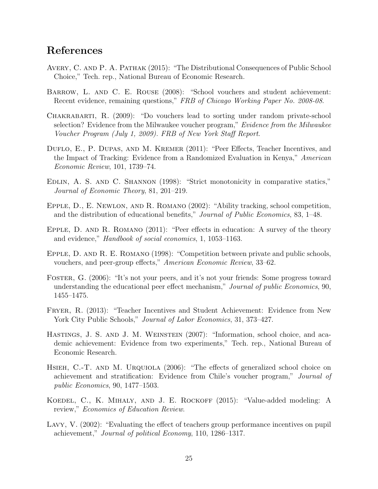## References

- <span id="page-25-8"></span>Avery, C. and P. A. Pathak (2015): "The Distributional Consequences of Public School Choice," Tech. rep., National Bureau of Economic Research.
- <span id="page-25-7"></span>Barrow, L. and C. E. Rouse (2008): "School vouchers and student achievement: Recent evidence, remaining questions," FRB of Chicago Working Paper No. 2008-08.
- <span id="page-25-2"></span>Chakrabarti, R. (2009): "Do vouchers lead to sorting under random private-school selection? Evidence from the Milwaukee voucher program," Evidence from the Milwaukee Voucher Program (July 1, 2009). FRB of New York Staff Report.
- <span id="page-25-1"></span>Duflo, E., P. Dupas, and M. Kremer (2011): "Peer Effects, Teacher Incentives, and the Impact of Tracking: Evidence from a Randomized Evaluation in Kenya," American Economic Review, 101, 1739–74.
- <span id="page-25-9"></span>Edlin, A. S. and C. Shannon (1998): "Strict monotonicity in comparative statics," Journal of Economic Theory, 81, 201–219.
- <span id="page-25-6"></span>Epple, D., E. Newlon, and R. Romano (2002): "Ability tracking, school competition, and the distribution of educational benefits," Journal of Public Economics, 83, 1–48.
- <span id="page-25-0"></span>Epple, D. and R. Romano (2011): "Peer effects in education: A survey of the theory and evidence," Handbook of social economics, 1, 1053–1163.
- <span id="page-25-5"></span>Epple, D. and R. E. Romano (1998): "Competition between private and public schools, vouchers, and peer-group effects," American Economic Review, 33–62.
- <span id="page-25-13"></span>Foster, G. (2006): "It's not your peers, and it's not your friends: Some progress toward understanding the educational peer effect mechanism," Journal of public Economics, 90, 1455–1475.
- <span id="page-25-11"></span>Fryer, R. (2013): "Teacher Incentives and Student Achievement: Evidence from New York City Public Schools," *Journal of Labor Economics*, 31, 373–427.
- <span id="page-25-4"></span>Hastings, J. S. and J. M. Weinstein (2007): "Information, school choice, and academic achievement: Evidence from two experiments," Tech. rep., National Bureau of Economic Research.
- <span id="page-25-3"></span>HSIEH, C.-T. AND M. URQUIOLA (2006): "The effects of generalized school choice on achievement and stratification: Evidence from Chile's voucher program," Journal of public Economics, 90, 1477–1503.
- <span id="page-25-12"></span>KOEDEL, C., K. MIHALY, AND J. E. ROCKOFF (2015): "Value-added modeling: A review," Economics of Education Review.
- <span id="page-25-10"></span>Lavy, V. (2002): "Evaluating the effect of teachers group performance incentives on pupil achievement," Journal of political Economy, 110, 1286–1317.